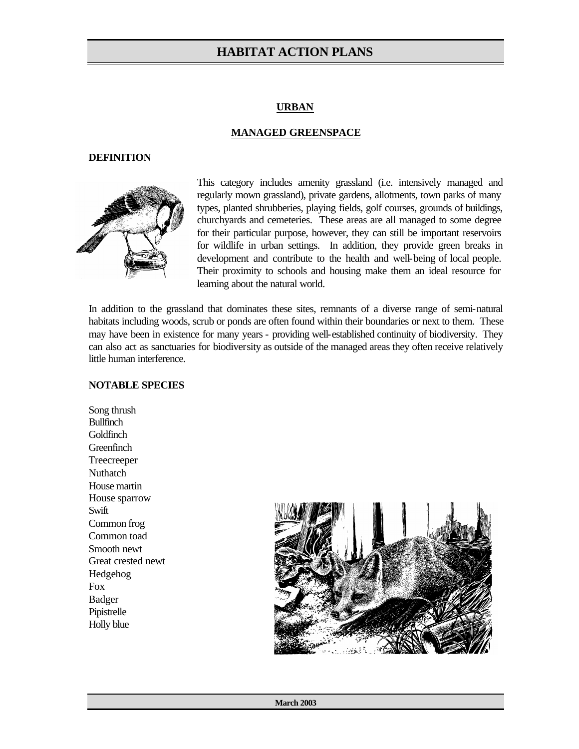#### **URBAN**

#### **MANAGED GREENSPACE**

#### **DEFINITION**



This category includes amenity grassland (i.e. intensively managed and regularly mown grassland), private gardens, allotments, town parks of many types, planted shrubberies, playing fields, golf courses, grounds of buildings, churchyards and cemeteries. These areas are all managed to some degree for their particular purpose, however, they can still be important reservoirs for wildlife in urban settings. In addition, they provide green breaks in development and contribute to the health and well-being of local people. Their proximity to schools and housing make them an ideal resource for learning about the natural world.

In addition to the grassland that dominates these sites, remnants of a diverse range of semi-natural habitats including woods, scrub or ponds are often found within their boundaries or next to them. These may have been in existence for many years - providing well-established continuity of biodiversity. They can also act as sanctuaries for biodiversity as outside of the managed areas they often receive relatively little human interference.

#### **NOTABLE SPECIES**

Song thrush Bullfinch **Goldfinch Greenfinch** Treecreeper Nuthatch House martin House sparrow Swift Common frog Common toad Smooth newt Great crested newt Hedgehog Fox Badger Pipistrelle Holly blue

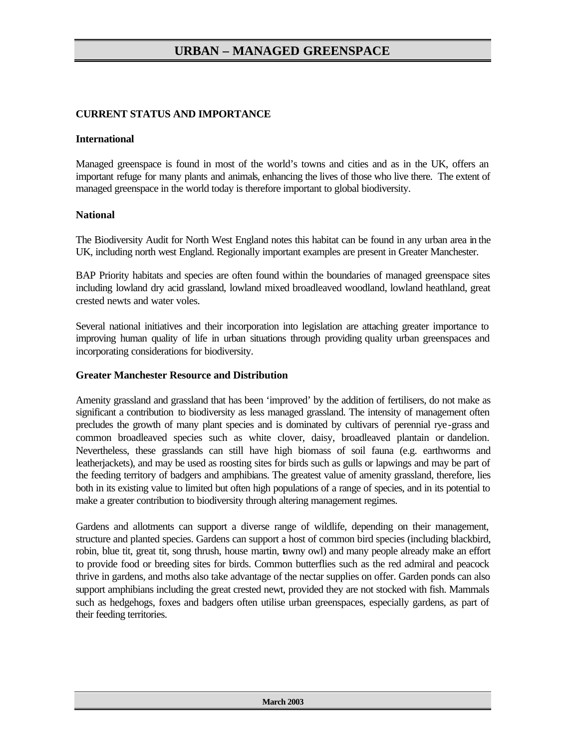### **CURRENT STATUS AND IMPORTANCE**

#### **International**

Managed greenspace is found in most of the world's towns and cities and as in the UK, offers an important refuge for many plants and animals, enhancing the lives of those who live there. The extent of managed greenspace in the world today is therefore important to global biodiversity.

#### **National**

The Biodiversity Audit for North West England notes this habitat can be found in any urban area in the UK, including north west England. Regionally important examples are present in Greater Manchester.

BAP Priority habitats and species are often found within the boundaries of managed greenspace sites including lowland dry acid grassland, lowland mixed broadleaved woodland, lowland heathland, great crested newts and water voles.

Several national initiatives and their incorporation into legislation are attaching greater importance to improving human quality of life in urban situations through providing quality urban greenspaces and incorporating considerations for biodiversity.

### **Greater Manchester Resource and Distribution**

Amenity grassland and grassland that has been 'improved' by the addition of fertilisers, do not make as significant a contribution to biodiversity as less managed grassland. The intensity of management often precludes the growth of many plant species and is dominated by cultivars of perennial rye-grass and common broadleaved species such as white clover, daisy, broadleaved plantain or dandelion. Nevertheless, these grasslands can still have high biomass of soil fauna (e.g. earthworms and leatherjackets), and may be used as roosting sites for birds such as gulls or lapwings and may be part of the feeding territory of badgers and amphibians. The greatest value of amenity grassland, therefore, lies both in its existing value to limited but often high populations of a range of species, and in its potential to make a greater contribution to biodiversity through altering management regimes.

Gardens and allotments can support a diverse range of wildlife, depending on their management, structure and planted species. Gardens can support a host of common bird species (including blackbird, robin, blue tit, great tit, song thrush, house martin, tawny owl) and many people already make an effort to provide food or breeding sites for birds. Common butterflies such as the red admiral and peacock thrive in gardens, and moths also take advantage of the nectar supplies on offer. Garden ponds can also support amphibians including the great crested newt, provided they are not stocked with fish. Mammals such as hedgehogs, foxes and badgers often utilise urban greenspaces, especially gardens, as part of their feeding territories.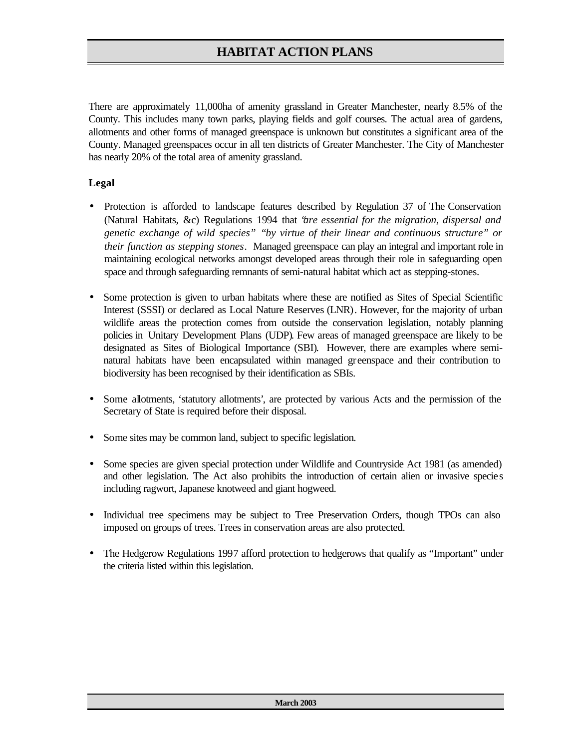There are approximately 11,000ha of amenity grassland in Greater Manchester, nearly 8.5% of the County. This includes many town parks, playing fields and golf courses. The actual area of gardens, allotments and other forms of managed greenspace is unknown but constitutes a significant area of the County. Managed greenspaces occur in all ten districts of Greater Manchester. The City of Manchester has nearly 20% of the total area of amenity grassland.

### **Legal**

- Protection is afforded to landscape features described by Regulation 37 of The Conservation (Natural Habitats, &c) Regulations 1994 that "*are essential for the migration, dispersal and genetic exchange of wild species"* "*by virtue of their linear and continuous structure" or their function as stepping stones.* Managed greenspace can play an integral and important role in maintaining ecological networks amongst developed areas through their role in safeguarding open space and through safeguarding remnants of semi-natural habitat which act as stepping-stones.
- Some protection is given to urban habitats where these are notified as Sites of Special Scientific Interest (SSSI) or declared as Local Nature Reserves (LNR). However, for the majority of urban wildlife areas the protection comes from outside the conservation legislation, notably planning policies in Unitary Development Plans (UDP). Few areas of managed greenspace are likely to be designated as Sites of Biological Importance (SBI). However, there are examples where seminatural habitats have been encapsulated within managed greenspace and their contribution to biodiversity has been recognised by their identification as SBIs.
- Some allotments, 'statutory allotments', are protected by various Acts and the permission of the Secretary of State is required before their disposal.
- Some sites may be common land, subject to specific legislation.
- Some species are given special protection under Wildlife and Countryside Act 1981 (as amended) and other legislation. The Act also prohibits the introduction of certain alien or invasive species including ragwort, Japanese knotweed and giant hogweed.
- Individual tree specimens may be subject to Tree Preservation Orders, though TPOs can also imposed on groups of trees. Trees in conservation areas are also protected.
- The Hedgerow Regulations 1997 afford protection to hedgerows that qualify as "Important" under the criteria listed within this legislation.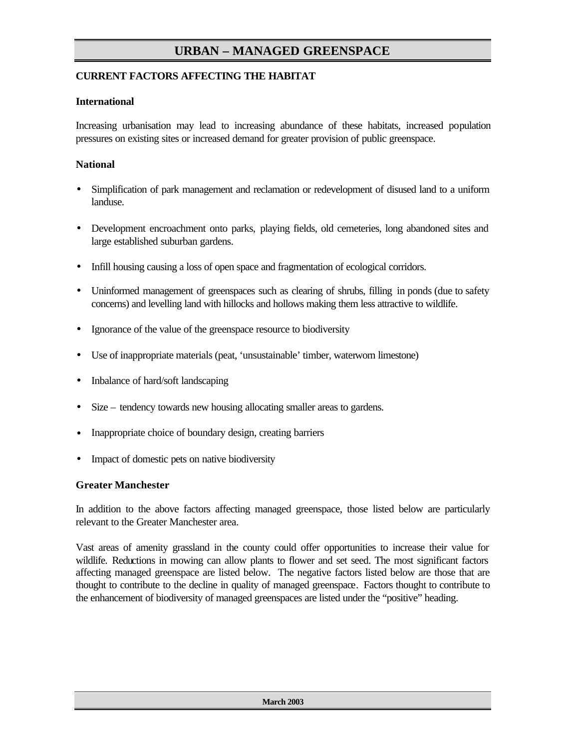### **CURRENT FACTORS AFFECTING THE HABITAT**

### **International**

Increasing urbanisation may lead to increasing abundance of these habitats, increased population pressures on existing sites or increased demand for greater provision of public greenspace.

### **National**

- Simplification of park management and reclamation or redevelopment of disused land to a uniform landuse.
- Development encroachment onto parks, playing fields, old cemeteries, long abandoned sites and large established suburban gardens.
- Infill housing causing a loss of open space and fragmentation of ecological corridors.
- Uninformed management of greenspaces such as clearing of shrubs, filling in ponds (due to safety concerns) and levelling land with hillocks and hollows making them less attractive to wildlife.
- Ignorance of the value of the greenspace resource to biodiversity
- Use of inappropriate materials (peat, 'unsustainable' timber, waterworn limestone)
- Inbalance of hard/soft landscaping
- Size tendency towards new housing allocating smaller areas to gardens.
- Inappropriate choice of boundary design, creating barriers
- Impact of domestic pets on native biodiversity

#### **Greater Manchester**

In addition to the above factors affecting managed greenspace, those listed below are particularly relevant to the Greater Manchester area.

Vast areas of amenity grassland in the county could offer opportunities to increase their value for wildlife. Reductions in mowing can allow plants to flower and set seed. The most significant factors affecting managed greenspace are listed below. The negative factors listed below are those that are thought to contribute to the decline in quality of managed greenspace. Factors thought to contribute to the enhancement of biodiversity of managed greenspaces are listed under the "positive" heading.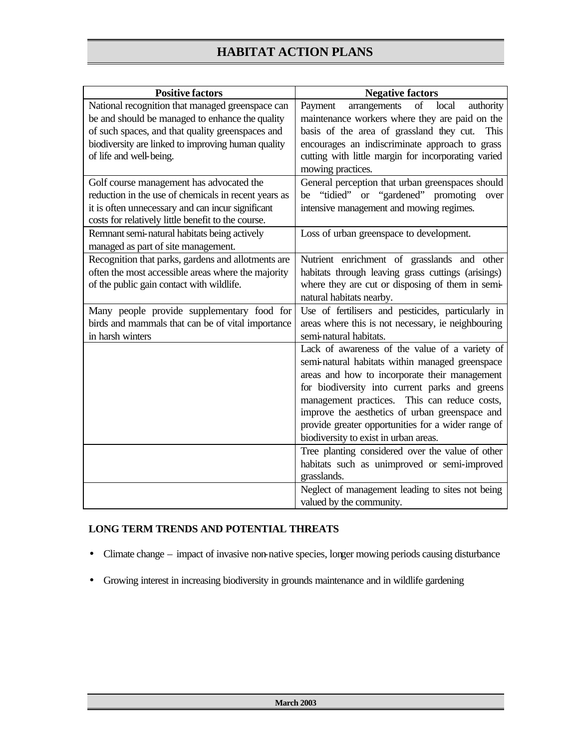| <b>Positive factors</b>                              | <b>Negative factors</b>                             |
|------------------------------------------------------|-----------------------------------------------------|
| National recognition that managed greenspace can     | of<br>arrangements<br>local<br>authority<br>Payment |
| be and should be managed to enhance the quality      | maintenance workers where they are paid on the      |
| of such spaces, and that quality greenspaces and     | basis of the area of grassland they cut.<br>This    |
| biodiversity are linked to improving human quality   | encourages an indiscriminate approach to grass      |
| of life and well-being.                              | cutting with little margin for incorporating varied |
|                                                      | mowing practices.                                   |
| Golf course management has advocated the             | General perception that urban greenspaces should    |
| reduction in the use of chemicals in recent years as | be "tidied" or "gardened" promoting<br>over         |
| it is often unnecessary and can incur significant    | intensive management and mowing regimes.            |
| costs for relatively little benefit to the course.   |                                                     |
| Remnant semi-natural habitats being actively         | Loss of urban greenspace to development.            |
| managed as part of site management.                  |                                                     |
| Recognition that parks, gardens and allotments are   | Nutrient enrichment of grasslands and other         |
| often the most accessible areas where the majority   | habitats through leaving grass cuttings (arisings)  |
| of the public gain contact with wildlife.            | where they are cut or disposing of them in semi-    |
|                                                      | natural habitats nearby.                            |
| Many people provide supplementary food for           | Use of fertilisers and pesticides, particularly in  |
| birds and mammals that can be of vital importance    | areas where this is not necessary, ie neighbouring  |
| in harsh winters                                     | semi-natural habitats.                              |
|                                                      | Lack of awareness of the value of a variety of      |
|                                                      | semi-natural habitats within managed greenspace     |
|                                                      | areas and how to incorporate their management       |
|                                                      | for biodiversity into current parks and greens      |
|                                                      | management practices. This can reduce costs,        |
|                                                      | improve the aesthetics of urban greenspace and      |
|                                                      | provide greater opportunities for a wider range of  |
|                                                      | biodiversity to exist in urban areas.               |
|                                                      | Tree planting considered over the value of other    |
|                                                      | habitats such as unimproved or semi-improved        |
|                                                      | grasslands.                                         |
|                                                      | Neglect of management leading to sites not being    |
|                                                      | valued by the community.                            |

### **LONG TERM TRENDS AND POTENTIAL THREATS**

- Climate change impact of invasive non-native species, longer mowing periods causing disturbance
- Growing interest in increasing biodiversity in grounds maintenance and in wildlife gardening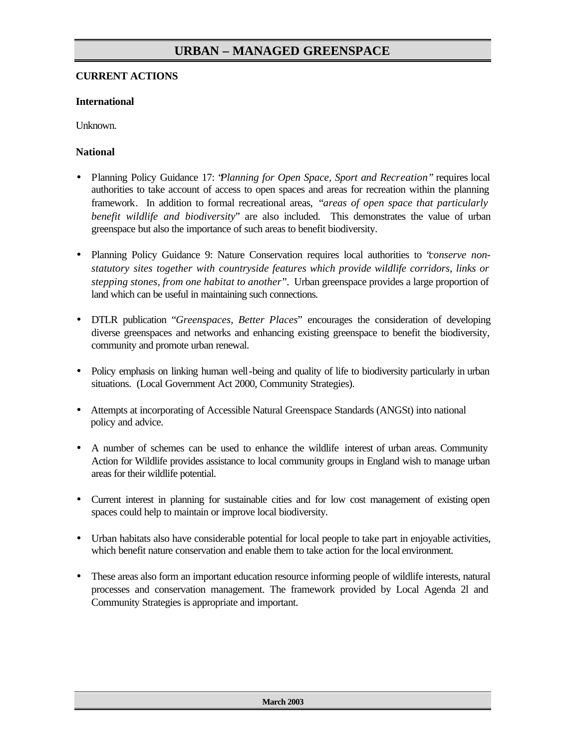### **CURRENT ACTIONS**

### **International**

Unknown.

### **National**

- Planning Policy Guidance 17: "*Planning for Open Space, Sport and Recreation"* requires local authorities to take account of access to open spaces and areas for recreation within the planning framework. In addition to formal recreational areas, "*areas of open space that particularly benefit wildlife and biodiversity*" are also included. This demonstrates the value of urban greenspace but also the importance of such areas to benefit biodiversity.
- Planning Policy Guidance 9: Nature Conservation requires local authorities to "*conserve nonstatutory sites together with countryside features which provide wildlife corridors, links or stepping stones, from one habitat to another*". Urban greenspace provides a large proportion of land which can be useful in maintaining such connections.
- DTLR publication "*Greenspaces, Better Places*" encourages the consideration of developing diverse greenspaces and networks and enhancing existing greenspace to benefit the biodiversity, community and promote urban renewal.
- Policy emphasis on linking human well-being and quality of life to biodiversity particularly in urban situations. (Local Government Act 2000, Community Strategies).
- Attempts at incorporating of Accessible Natural Greenspace Standards (ANGSt) into national policy and advice.
- A number of schemes can be used to enhance the wildlife interest of urban areas. Community Action for Wildlife provides assistance to local community groups in England wish to manage urban areas for their wildlife potential.
- Current interest in planning for sustainable cities and for low cost management of existing open spaces could help to maintain or improve local biodiversity.
- Urban habitats also have considerable potential for local people to take part in enjoyable activities, which benefit nature conservation and enable them to take action for the local environment.
- These areas also form an important education resource informing people of wildlife interests, natural processes and conservation management. The framework provided by Local Agenda 2l and Community Strategies is appropriate and important.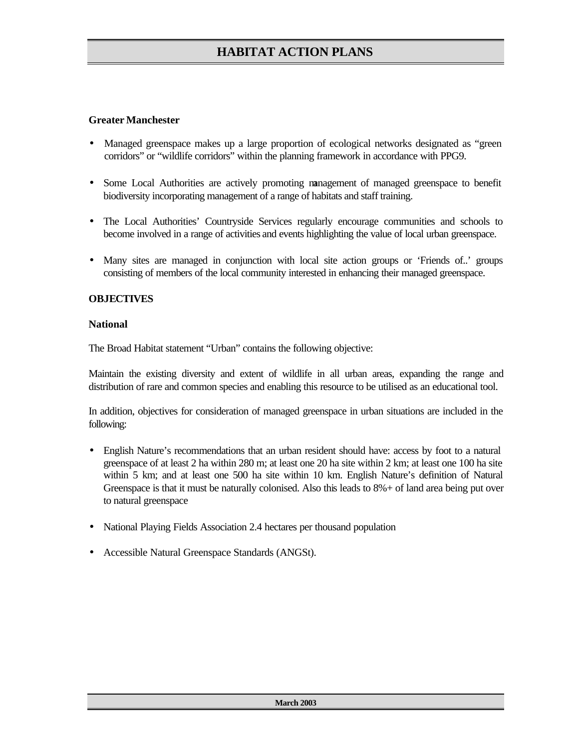### **Greater Manchester**

- Managed greenspace makes up a large proportion of ecological networks designated as "green corridors" or "wildlife corridors" within the planning framework in accordance with PPG9.
- Some Local Authorities are actively promoting management of managed greenspace to benefit biodiversity incorporating management of a range of habitats and staff training.
- The Local Authorities' Countryside Services regularly encourage communities and schools to become involved in a range of activities and events highlighting the value of local urban greenspace.
- Many sites are managed in conjunction with local site action groups or 'Friends of..' groups consisting of members of the local community interested in enhancing their managed greenspace.

### **OBJECTIVES**

#### **National**

The Broad Habitat statement "Urban" contains the following objective:

Maintain the existing diversity and extent of wildlife in all urban areas, expanding the range and distribution of rare and common species and enabling this resource to be utilised as an educational tool.

In addition, objectives for consideration of managed greenspace in urban situations are included in the following:

- English Nature's recommendations that an urban resident should have: access by foot to a natural greenspace of at least 2 ha within 280 m; at least one 20 ha site within 2 km; at least one 100 ha site within 5 km; and at least one 500 ha site within 10 km. English Nature's definition of Natural Greenspace is that it must be naturally colonised. Also this leads to 8%+ of land area being put over to natural greenspace
- National Playing Fields Association 2.4 hectares per thousand population
- Accessible Natural Greenspace Standards (ANGSt).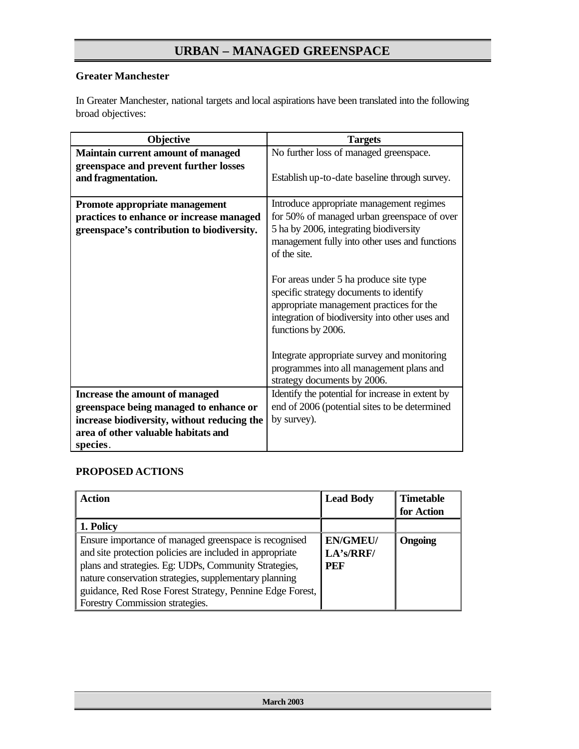### **Greater Manchester**

In Greater Manchester, national targets and local aspirations have been translated into the following broad objectives:

| Objective                                                                                                                | <b>Targets</b>                                                                                                                                                                                         |
|--------------------------------------------------------------------------------------------------------------------------|--------------------------------------------------------------------------------------------------------------------------------------------------------------------------------------------------------|
| Maintain current amount of managed                                                                                       | No further loss of managed greenspace.                                                                                                                                                                 |
| greenspace and prevent further losses<br>and fragmentation.                                                              | Establish up-to-date baseline through survey.                                                                                                                                                          |
| Promote appropriate management<br>practices to enhance or increase managed<br>greenspace's contribution to biodiversity. | Introduce appropriate management regimes<br>for 50% of managed urban greenspace of over<br>5 ha by 2006, integrating biodiversity<br>management fully into other uses and functions<br>of the site.    |
|                                                                                                                          | For areas under 5 ha produce site type<br>specific strategy documents to identify<br>appropriate management practices for the<br>integration of biodiversity into other uses and<br>functions by 2006. |
|                                                                                                                          | Integrate appropriate survey and monitoring<br>programmes into all management plans and<br>strategy documents by 2006.                                                                                 |
| Increase the amount of managed                                                                                           | Identify the potential for increase in extent by                                                                                                                                                       |
| greenspace being managed to enhance or                                                                                   | end of 2006 (potential sites to be determined                                                                                                                                                          |
| increase biodiversity, without reducing the                                                                              | by survey).                                                                                                                                                                                            |
| area of other valuable habitats and                                                                                      |                                                                                                                                                                                                        |
| species.                                                                                                                 |                                                                                                                                                                                                        |

### **PROPOSED ACTIONS**

| Action                                                   | <b>Lead Body</b> | <b>Timetable</b><br>for Action |
|----------------------------------------------------------|------------------|--------------------------------|
| 1. Policy                                                |                  |                                |
| Ensure importance of managed greenspace is recognised    | <b>EN/GMEU/</b>  | <b>Ongoing</b>                 |
| and site protection policies are included in appropriate | LA's/RRF/        |                                |
| plans and strategies. Eg: UDPs, Community Strategies,    | PEF              |                                |
| nature conservation strategies, supplementary planning   |                  |                                |
| guidance, Red Rose Forest Strategy, Pennine Edge Forest, |                  |                                |
| Forestry Commission strategies.                          |                  |                                |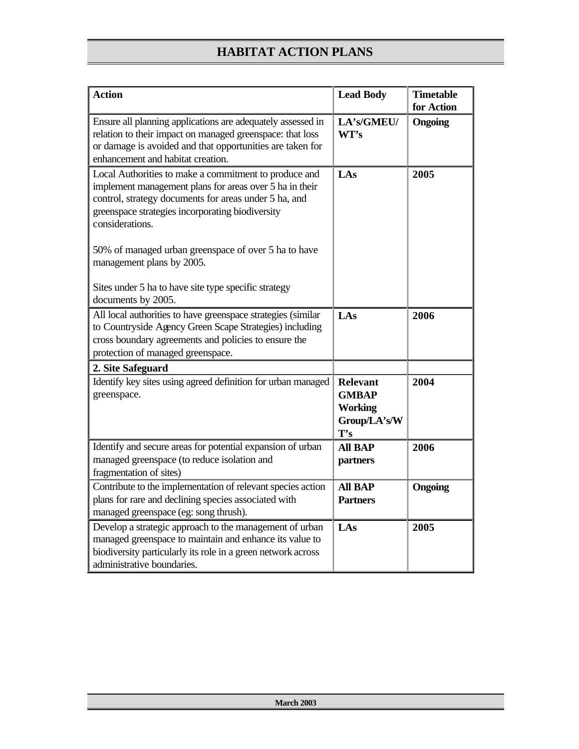| <b>Action</b>                                                                                                                                                                                                                                                                                            | <b>Lead Body</b>                                                         | <b>Timetable</b><br>for Action |
|----------------------------------------------------------------------------------------------------------------------------------------------------------------------------------------------------------------------------------------------------------------------------------------------------------|--------------------------------------------------------------------------|--------------------------------|
| Ensure all planning applications are adequately assessed in<br>relation to their impact on managed greenspace: that loss<br>or damage is avoided and that opportunities are taken for<br>enhancement and habitat creation.                                                                               | LA's/GMEU/<br>WT's                                                       | Ongoing                        |
| Local Authorities to make a commitment to produce and<br>implement management plans for areas over 5 ha in their<br>control, strategy documents for areas under 5 ha, and<br>greenspace strategies incorporating biodiversity<br>considerations.<br>50% of managed urban greenspace of over 5 ha to have | LAs                                                                      | 2005                           |
| management plans by 2005.<br>Sites under 5 ha to have site type specific strategy<br>documents by 2005.                                                                                                                                                                                                  |                                                                          |                                |
| All local authorities to have greenspace strategies (similar<br>to Countryside Agency Green Scape Strategies) including<br>cross boundary agreements and policies to ensure the<br>protection of managed greenspace.                                                                                     | LAs                                                                      | 2006                           |
| 2. Site Safeguard                                                                                                                                                                                                                                                                                        |                                                                          |                                |
| Identify key sites using agreed definition for urban managed<br>greenspace.                                                                                                                                                                                                                              | <b>Relevant</b><br><b>GMBAP</b><br><b>Working</b><br>Group/LA's/W<br>T's | 2004                           |
| Identify and secure areas for potential expansion of urban<br>managed greenspace (to reduce isolation and<br>fragmentation of sites)                                                                                                                                                                     | <b>All BAP</b><br>partners                                               | 2006                           |
| Contribute to the implementation of relevant species action<br>plans for rare and declining species associated with<br>managed greenspace (eg: song thrush).                                                                                                                                             | <b>All BAP</b><br><b>Partners</b>                                        | Ongoing                        |
| Develop a strategic approach to the management of urban<br>managed greenspace to maintain and enhance its value to<br>biodiversity particularly its role in a green network across<br>administrative boundaries.                                                                                         | LAs                                                                      | 2005                           |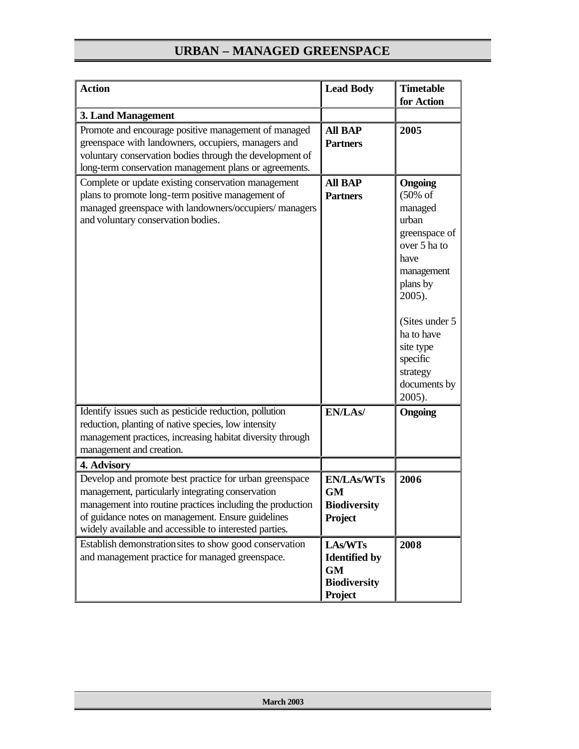| <b>Action</b>                                                                                                                                                                                                                                                                                            | <b>Lead Body</b>                                                               | <b>Timetable</b><br>for Action                                                                                                                                                                                                 |
|----------------------------------------------------------------------------------------------------------------------------------------------------------------------------------------------------------------------------------------------------------------------------------------------------------|--------------------------------------------------------------------------------|--------------------------------------------------------------------------------------------------------------------------------------------------------------------------------------------------------------------------------|
| 3. Land Management                                                                                                                                                                                                                                                                                       |                                                                                |                                                                                                                                                                                                                                |
| Promote and encourage positive management of managed<br>greenspace with landowners, occupiers, managers and<br>voluntary conservation bodies through the development of<br>long-term conservation management plans or agreements.                                                                        | <b>All BAP</b><br><b>Partners</b>                                              | 2005                                                                                                                                                                                                                           |
| Complete or update existing conservation management<br>plans to promote long-term positive management of<br>managed greenspace with landowners/occupiers/ managers<br>and voluntary conservation bodies.                                                                                                 | <b>All BAP</b><br><b>Partners</b>                                              | Ongoing<br>$(50\% \text{ of }$<br>managed<br>urban<br>greenspace of<br>over 5 ha to<br>have<br>management<br>plans by<br>2005).<br>(Sites under 5<br>ha to have<br>site type<br>specific<br>strategy<br>documents by<br>2005). |
| Identify issues such as pesticide reduction, pollution<br>reduction, planting of native species, low intensity<br>management practices, increasing habitat diversity through<br>management and creation.                                                                                                 | EN/LAs/                                                                        | <b>Ongoing</b>                                                                                                                                                                                                                 |
| 4. Advisory<br>Develop and promote best practice for urban greenspace<br>management, particularly integrating conservation<br>management into routine practices including the production<br>of guidance notes on management. Ensure guidelines<br>widely available and accessible to interested parties. | <b>EN/LAs/WTs</b><br>GM<br><b>Biodiversity</b><br>Project                      | 2006                                                                                                                                                                                                                           |
| Establish demonstration sites to show good conservation<br>and management practice for managed greenspace.                                                                                                                                                                                               | LAs/WTs<br><b>Identified by</b><br><b>GM</b><br><b>Biodiversity</b><br>Project | 2008                                                                                                                                                                                                                           |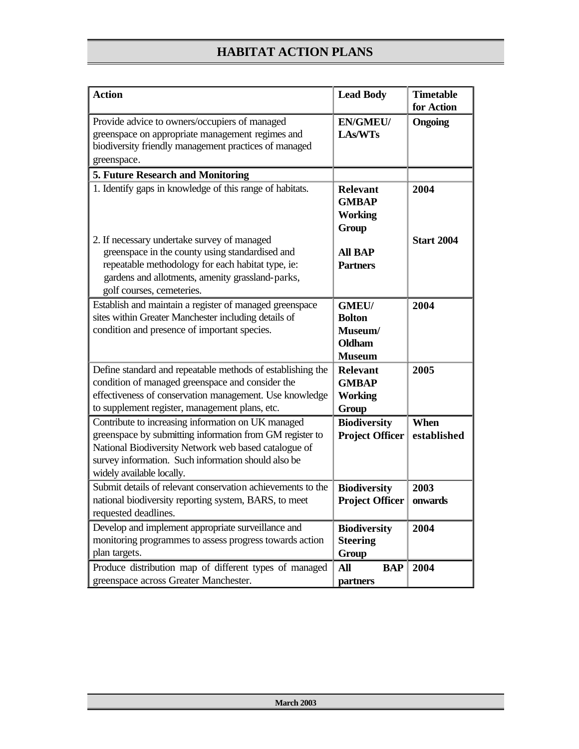| <b>Action</b>                                                                                                                                                                                                                                              | <b>Lead Body</b>                                                           | <b>Timetable</b><br>for Action |
|------------------------------------------------------------------------------------------------------------------------------------------------------------------------------------------------------------------------------------------------------------|----------------------------------------------------------------------------|--------------------------------|
| Provide advice to owners/occupiers of managed<br>greenspace on appropriate management regimes and<br>biodiversity friendly management practices of managed<br>greenspace.                                                                                  | <b>EN/GMEU/</b><br><b>LAs/WTs</b>                                          | Ongoing                        |
| 5. Future Research and Monitoring                                                                                                                                                                                                                          |                                                                            |                                |
| 1. Identify gaps in knowledge of this range of habitats.                                                                                                                                                                                                   | <b>Relevant</b><br><b>GMBAP</b><br><b>Working</b><br>Group                 | 2004                           |
| 2. If necessary undertake survey of managed<br>greenspace in the county using standardised and<br>repeatable methodology for each habitat type, ie:<br>gardens and allotments, amenity grassland-parks,<br>golf courses, cemeteries.                       | <b>All BAP</b><br><b>Partners</b>                                          | <b>Start 2004</b>              |
| Establish and maintain a register of managed greenspace<br>sites within Greater Manchester including details of<br>condition and presence of important species.                                                                                            | <b>GMEU/</b><br><b>Bolton</b><br>Museum/<br><b>Oldham</b><br><b>Museum</b> | 2004                           |
| Define standard and repeatable methods of establishing the<br>condition of managed greenspace and consider the<br>effectiveness of conservation management. Use knowledge<br>to supplement register, management plans, etc.                                | <b>Relevant</b><br><b>GMBAP</b><br><b>Working</b><br>Group                 | 2005                           |
| Contribute to increasing information on UK managed<br>greenspace by submitting information from GM register to<br>National Biodiversity Network web based catalogue of<br>survey information. Such information should also be<br>widely available locally. | <b>Biodiversity</b><br><b>Project Officer</b>                              | When<br>established            |
| Submit details of relevant conservation achievements to the<br>national biodiversity reporting system, BARS, to meet<br>requested deadlines.                                                                                                               | <b>Biodiversity</b><br><b>Project Officer</b>                              | 2003<br>onwards                |
| Develop and implement appropriate surveillance and<br>monitoring programmes to assess progress towards action<br>plan targets.                                                                                                                             | <b>Biodiversity</b><br><b>Steering</b><br><b>Group</b>                     | 2004                           |
| Produce distribution map of different types of managed<br>greenspace across Greater Manchester.                                                                                                                                                            | <b>All</b><br><b>BAP</b><br>partners                                       | 2004                           |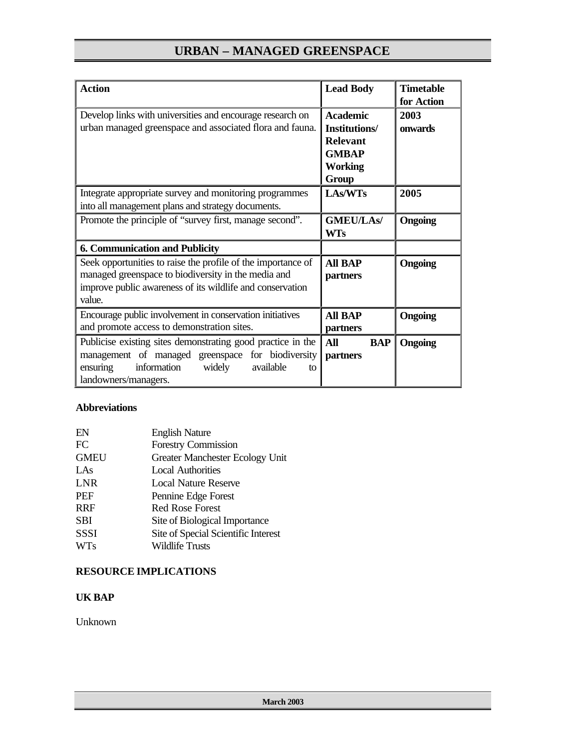| <b>Action</b><br>Develop links with universities and encourage research on<br>urban managed greenspace and associated flora and fauna.                                                           | <b>Lead Body</b><br><b>Academic</b><br><b>Institutions/</b><br><b>Relevant</b><br><b>GMBAP</b><br><b>Working</b><br>Group | <b>Timetable</b><br>for Action<br>2003<br>onwards |
|--------------------------------------------------------------------------------------------------------------------------------------------------------------------------------------------------|---------------------------------------------------------------------------------------------------------------------------|---------------------------------------------------|
| Integrate appropriate survey and monitoring programmes<br>into all management plans and strategy documents.                                                                                      | LAs/WTs                                                                                                                   | 2005                                              |
| Promote the principle of "survey first, manage second".                                                                                                                                          | <b>GMEU/LAs/</b><br><b>WTs</b>                                                                                            | <b>Ongoing</b>                                    |
| <b>6. Communication and Publicity</b>                                                                                                                                                            |                                                                                                                           |                                                   |
| Seek opportunities to raise the profile of the importance of<br>managed greenspace to biodiversity in the media and<br>improve public awareness of its wildlife and conservation<br>value.       | <b>All BAP</b><br>partners                                                                                                | Ongoing                                           |
| Encourage public involvement in conservation initiatives<br>and promote access to demonstration sites.                                                                                           | <b>All BAP</b><br>partners                                                                                                | Ongoing                                           |
| Publicise existing sites demonstrating good practice in the<br>management of managed greenspace for biodiversity<br>ensuring<br>information<br>widely<br>available<br>to<br>landowners/managers. | <b>All</b><br><b>BAP</b><br>partners                                                                                      | Ongoing                                           |

### **Abbreviations**

| EN          | <b>English Nature</b>                  |
|-------------|----------------------------------------|
| FC          | <b>Forestry Commission</b>             |
| <b>GMEU</b> | <b>Greater Manchester Ecology Unit</b> |
| LAs         | <b>Local Authorities</b>               |
| LNR         | Local Nature Reserve                   |
| PEF         | Pennine Edge Forest                    |
| <b>RRF</b>  | <b>Red Rose Forest</b>                 |
| SBI         | Site of Biological Importance          |
| <b>SSSI</b> | Site of Special Scientific Interest    |
| <b>WTs</b>  | <b>Wildlife Trusts</b>                 |

### **RESOURCE IMPLICATIONS**

### **UK BAP**

Unknown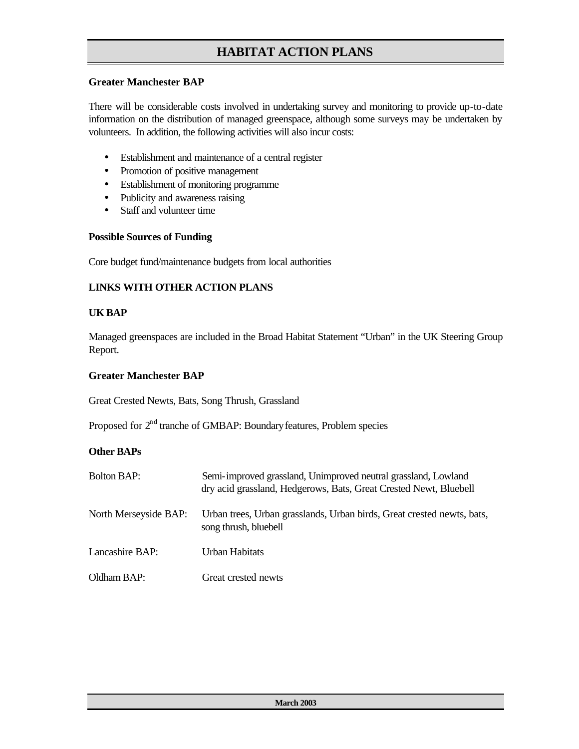### **Greater Manchester BAP**

There will be considerable costs involved in undertaking survey and monitoring to provide up-to-date information on the distribution of managed greenspace, although some surveys may be undertaken by volunteers. In addition, the following activities will also incur costs:

- Establishment and maintenance of a central register
- Promotion of positive management
- Establishment of monitoring programme
- Publicity and awareness raising
- Staff and volunteer time

#### **Possible Sources of Funding**

Core budget fund/maintenance budgets from local authorities

### **LINKS WITH OTHER ACTION PLANS**

### **UK BAP**

Managed greenspaces are included in the Broad Habitat Statement "Urban" in the UK Steering Group Report.

#### **Greater Manchester BAP**

Great Crested Newts, Bats, Song Thrush, Grassland

Proposed for  $2<sup>nd</sup>$  tranche of GMBAP: Boundary features, Problem species

### **Other BAPs**

| <b>Bolton BAP:</b>    | Semi-improved grassland, Unimproved neutral grassland, Lowland<br>dry acid grassland, Hedgerows, Bats, Great Crested Newt, Bluebell |
|-----------------------|-------------------------------------------------------------------------------------------------------------------------------------|
| North Merseyside BAP: | Urban trees, Urban grasslands, Urban birds, Great crested newts, bats,<br>song thrush, bluebell                                     |
| Lancashire BAP:       | Urban Habitats                                                                                                                      |
| Oldham BAP:           | Great crested newts                                                                                                                 |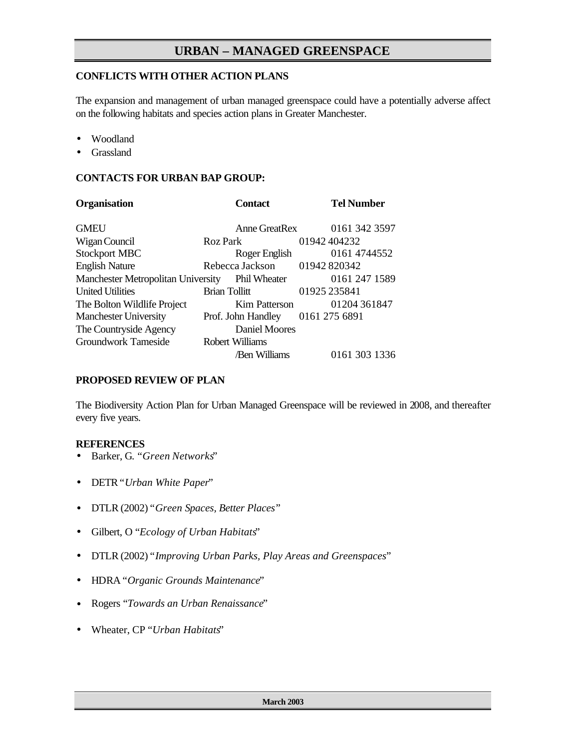### **CONFLICTS WITH OTHER ACTION PLANS**

The expansion and management of urban managed greenspace could have a potentially adverse affect on the following habitats and species action plans in Greater Manchester.

- Woodland
- **Grassland**

### **CONTACTS FOR URBAN BAP GROUP:**

| <b>Organisation</b>                       | <b>Contact</b>       | <b>Tel Number</b> |
|-------------------------------------------|----------------------|-------------------|
| <b>GMEU</b>                               | Anne GreatRex        | 0161 342 3597     |
| Wigan Council                             | Roz Park             | 01942404232       |
| <b>Stockport MBC</b>                      | Roger English        | 0161 4744552      |
| <b>English Nature</b>                     | Rebecca Jackson      | 01942 820342      |
| <b>Manchester Metropolitan University</b> | Phil Wheater         | 0161 247 1589     |
| <b>United Utilities</b>                   | <b>Brian Tollitt</b> | 01925 235841      |
| The Bolton Wildlife Project               | Kim Patterson        | 01204 361847      |
| <b>Manchester University</b>              | Prof. John Handley   | 0161 275 6891     |
| The Countryside Agency                    | <b>Daniel Moores</b> |                   |
| <b>Groundwork Tameside</b>                | Robert Williams      |                   |
|                                           | /Ben Williams        | 0161 303 1336     |

#### **PROPOSED REVIEW OF PLAN**

The Biodiversity Action Plan for Urban Managed Greenspace will be reviewed in 2008, and thereafter every five years.

### **REFERENCES**

- Barker, G. "*Green Networks*"
- DETR "*Urban White Paper*"
- DTLR (2002) "*Green Spaces, Better Places*"
- Gilbert, O "*Ecology of Urban Habitats*"
- DTLR (2002) "*Improving Urban Parks, Play Areas and Greenspaces*"
- HDRA "*Organic Grounds Maintenance*"
- Rogers "*Towards an Urban Renaissance*"
- Wheater, CP "*Urban Habitats*"